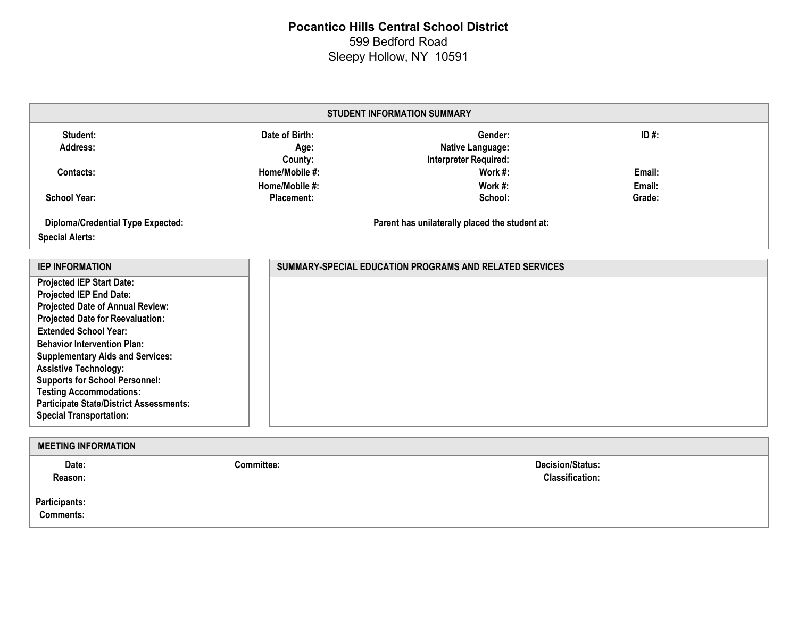# **Pocantico Hills Central School District** 599 Bedford Road Sleepy Hollow, NY 10591

| <b>STUDENT INFORMATION SUMMARY</b>                                                                                                                                                                                                                                                                                                                                                                                                                                |                                                         |                                                             |                  |  |  |
|-------------------------------------------------------------------------------------------------------------------------------------------------------------------------------------------------------------------------------------------------------------------------------------------------------------------------------------------------------------------------------------------------------------------------------------------------------------------|---------------------------------------------------------|-------------------------------------------------------------|------------------|--|--|
| Student:<br>Address:                                                                                                                                                                                                                                                                                                                                                                                                                                              | Date of Birth:<br>Age:<br>County:                       | Gender:<br>Native Language:<br><b>Interpreter Required:</b> | ID#:             |  |  |
| Contacts:                                                                                                                                                                                                                                                                                                                                                                                                                                                         | Home/Mobile #:<br>Home/Mobile #:                        | Work #:<br>Work #:                                          | Email:<br>Email: |  |  |
| <b>School Year:</b>                                                                                                                                                                                                                                                                                                                                                                                                                                               | <b>Placement:</b>                                       | School:                                                     | Grade:           |  |  |
| <b>Diploma/Credential Type Expected:</b><br><b>Special Alerts:</b>                                                                                                                                                                                                                                                                                                                                                                                                | Parent has unilaterally placed the student at:          |                                                             |                  |  |  |
| <b>IEP INFORMATION</b>                                                                                                                                                                                                                                                                                                                                                                                                                                            | SUMMARY-SPECIAL EDUCATION PROGRAMS AND RELATED SERVICES |                                                             |                  |  |  |
| <b>Projected IEP Start Date:</b><br><b>Projected IEP End Date:</b><br>Projected Date of Annual Review:<br><b>Projected Date for Reevaluation:</b><br><b>Extended School Year:</b><br><b>Behavior Intervention Plan:</b><br><b>Supplementary Aids and Services:</b><br><b>Assistive Technology:</b><br><b>Supports for School Personnel:</b><br><b>Testing Accommodations:</b><br><b>Participate State/District Assessments:</b><br><b>Special Transportation:</b> |                                                         |                                                             |                  |  |  |
| <b>MEETING INFORMATION</b>                                                                                                                                                                                                                                                                                                                                                                                                                                        |                                                         |                                                             |                  |  |  |
| Date:<br>Reason:<br><b>Participants:</b>                                                                                                                                                                                                                                                                                                                                                                                                                          | <b>Committee:</b>                                       | <b>Decision/Status:</b><br><b>Classification:</b>           |                  |  |  |

**Comments:**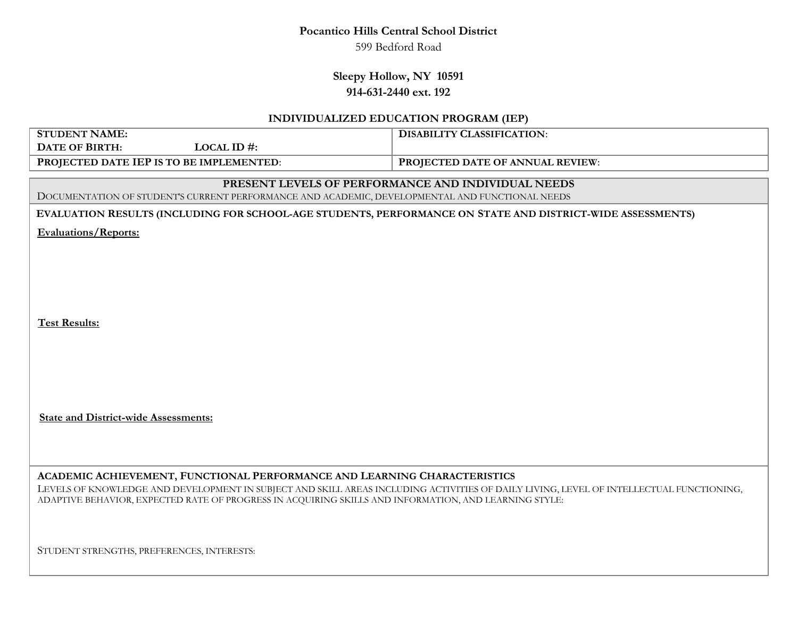### **Pocantico Hills Central School District**

599 Bedford Road

### **Sleepy Hollow, NY 10591 914-631-2440 ext. 192**

#### **INDIVIDUALIZED EDUCATION PROGRAM (IEP)**

| <b>STUDENT NAME:</b>                                                                                                                    | <b>DISABILITY CLASSIFICATION:</b>                  |  |  |  |
|-----------------------------------------------------------------------------------------------------------------------------------------|----------------------------------------------------|--|--|--|
| <b>DATE OF BIRTH:</b><br>LOCAL ID#:                                                                                                     |                                                    |  |  |  |
| PROJECTED DATE IEP IS TO BE IMPLEMENTED:                                                                                                | PROJECTED DATE OF ANNUAL REVIEW:                   |  |  |  |
|                                                                                                                                         | PRESENT LEVELS OF PERFORMANCE AND INDIVIDUAL NEEDS |  |  |  |
| DOCUMENTATION OF STUDENT'S CURRENT PERFORMANCE AND ACADEMIC, DEVELOPMENTAL AND FUNCTIONAL NEEDS                                         |                                                    |  |  |  |
| EVALUATION RESULTS (INCLUDING FOR SCHOOL-AGE STUDENTS, PERFORMANCE ON STATE AND DISTRICT-WIDE ASSESSMENTS)                              |                                                    |  |  |  |
| <b>Evaluations/Reports:</b>                                                                                                             |                                                    |  |  |  |
|                                                                                                                                         |                                                    |  |  |  |
|                                                                                                                                         |                                                    |  |  |  |
|                                                                                                                                         |                                                    |  |  |  |
|                                                                                                                                         |                                                    |  |  |  |
| <b>Test Results:</b>                                                                                                                    |                                                    |  |  |  |
|                                                                                                                                         |                                                    |  |  |  |
|                                                                                                                                         |                                                    |  |  |  |
|                                                                                                                                         |                                                    |  |  |  |
|                                                                                                                                         |                                                    |  |  |  |
|                                                                                                                                         |                                                    |  |  |  |
| <b>State and District-wide Assessments:</b>                                                                                             |                                                    |  |  |  |
|                                                                                                                                         |                                                    |  |  |  |
|                                                                                                                                         |                                                    |  |  |  |
| ACADEMIC ACHIEVEMENT, FUNCTIONAL PERFORMANCE AND LEARNING CHARACTERISTICS                                                               |                                                    |  |  |  |
| LEVELS OF KNOWLEDGE AND DEVELOPMENT IN SUBJECT AND SKILL AREAS INCLUDING ACTIVITIES OF DAILY LIVING, LEVEL OF INTELLECTUAL FUNCTIONING, |                                                    |  |  |  |
| ADAPTIVE BEHAVIOR, EXPECTED RATE OF PROGRESS IN ACQUIRING SKILLS AND INFORMATION, AND LEARNING STYLE:                                   |                                                    |  |  |  |
|                                                                                                                                         |                                                    |  |  |  |
|                                                                                                                                         |                                                    |  |  |  |

STUDENT STRENGTHS, PREFERENCES, INTERESTS: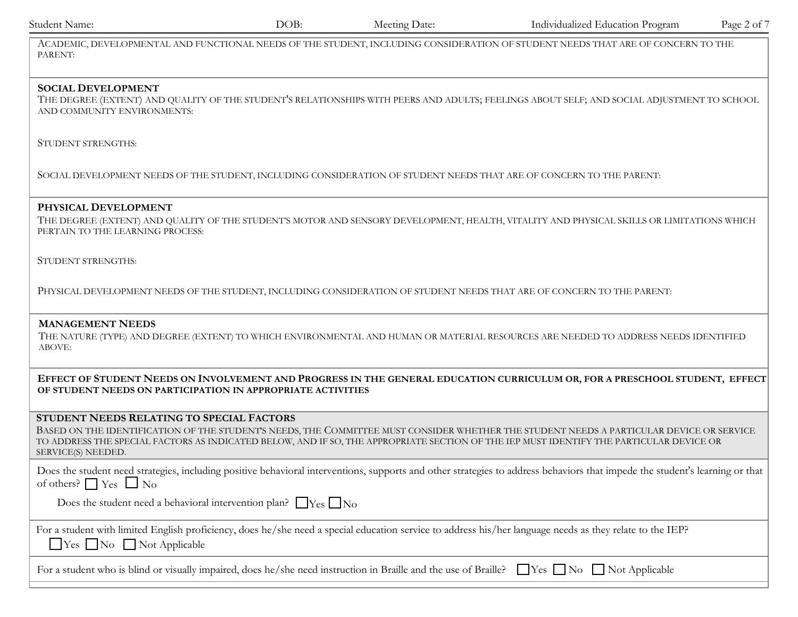| DOB:                                       | Meeting Date: | Individualized Education Program                                                                                                          | Page 2 of 7                                                                                                                                                                                                                                                                                                                                                                                                                                                                                                                                                                                                                                                                                                                                                                                                                                                                                                                                                                                                                                                                                                                                                                                                                                                                                                                                                                                                                                                                                                                                                                                                                                                                                                                                            |
|--------------------------------------------|---------------|-------------------------------------------------------------------------------------------------------------------------------------------|--------------------------------------------------------------------------------------------------------------------------------------------------------------------------------------------------------------------------------------------------------------------------------------------------------------------------------------------------------------------------------------------------------------------------------------------------------------------------------------------------------------------------------------------------------------------------------------------------------------------------------------------------------------------------------------------------------------------------------------------------------------------------------------------------------------------------------------------------------------------------------------------------------------------------------------------------------------------------------------------------------------------------------------------------------------------------------------------------------------------------------------------------------------------------------------------------------------------------------------------------------------------------------------------------------------------------------------------------------------------------------------------------------------------------------------------------------------------------------------------------------------------------------------------------------------------------------------------------------------------------------------------------------------------------------------------------------------------------------------------------------|
|                                            |               |                                                                                                                                           |                                                                                                                                                                                                                                                                                                                                                                                                                                                                                                                                                                                                                                                                                                                                                                                                                                                                                                                                                                                                                                                                                                                                                                                                                                                                                                                                                                                                                                                                                                                                                                                                                                                                                                                                                        |
|                                            |               |                                                                                                                                           |                                                                                                                                                                                                                                                                                                                                                                                                                                                                                                                                                                                                                                                                                                                                                                                                                                                                                                                                                                                                                                                                                                                                                                                                                                                                                                                                                                                                                                                                                                                                                                                                                                                                                                                                                        |
|                                            |               |                                                                                                                                           |                                                                                                                                                                                                                                                                                                                                                                                                                                                                                                                                                                                                                                                                                                                                                                                                                                                                                                                                                                                                                                                                                                                                                                                                                                                                                                                                                                                                                                                                                                                                                                                                                                                                                                                                                        |
|                                            |               |                                                                                                                                           |                                                                                                                                                                                                                                                                                                                                                                                                                                                                                                                                                                                                                                                                                                                                                                                                                                                                                                                                                                                                                                                                                                                                                                                                                                                                                                                                                                                                                                                                                                                                                                                                                                                                                                                                                        |
|                                            |               |                                                                                                                                           |                                                                                                                                                                                                                                                                                                                                                                                                                                                                                                                                                                                                                                                                                                                                                                                                                                                                                                                                                                                                                                                                                                                                                                                                                                                                                                                                                                                                                                                                                                                                                                                                                                                                                                                                                        |
|                                            |               |                                                                                                                                           |                                                                                                                                                                                                                                                                                                                                                                                                                                                                                                                                                                                                                                                                                                                                                                                                                                                                                                                                                                                                                                                                                                                                                                                                                                                                                                                                                                                                                                                                                                                                                                                                                                                                                                                                                        |
|                                            |               |                                                                                                                                           |                                                                                                                                                                                                                                                                                                                                                                                                                                                                                                                                                                                                                                                                                                                                                                                                                                                                                                                                                                                                                                                                                                                                                                                                                                                                                                                                                                                                                                                                                                                                                                                                                                                                                                                                                        |
|                                            |               |                                                                                                                                           |                                                                                                                                                                                                                                                                                                                                                                                                                                                                                                                                                                                                                                                                                                                                                                                                                                                                                                                                                                                                                                                                                                                                                                                                                                                                                                                                                                                                                                                                                                                                                                                                                                                                                                                                                        |
|                                            |               |                                                                                                                                           |                                                                                                                                                                                                                                                                                                                                                                                                                                                                                                                                                                                                                                                                                                                                                                                                                                                                                                                                                                                                                                                                                                                                                                                                                                                                                                                                                                                                                                                                                                                                                                                                                                                                                                                                                        |
| STUDENT NEEDS RELATING TO SPECIAL FACTORS  |               |                                                                                                                                           |                                                                                                                                                                                                                                                                                                                                                                                                                                                                                                                                                                                                                                                                                                                                                                                                                                                                                                                                                                                                                                                                                                                                                                                                                                                                                                                                                                                                                                                                                                                                                                                                                                                                                                                                                        |
|                                            |               |                                                                                                                                           |                                                                                                                                                                                                                                                                                                                                                                                                                                                                                                                                                                                                                                                                                                                                                                                                                                                                                                                                                                                                                                                                                                                                                                                                                                                                                                                                                                                                                                                                                                                                                                                                                                                                                                                                                        |
|                                            |               |                                                                                                                                           |                                                                                                                                                                                                                                                                                                                                                                                                                                                                                                                                                                                                                                                                                                                                                                                                                                                                                                                                                                                                                                                                                                                                                                                                                                                                                                                                                                                                                                                                                                                                                                                                                                                                                                                                                        |
| $\Box$ Yes $\Box$ No $\Box$ Not Applicable |               |                                                                                                                                           |                                                                                                                                                                                                                                                                                                                                                                                                                                                                                                                                                                                                                                                                                                                                                                                                                                                                                                                                                                                                                                                                                                                                                                                                                                                                                                                                                                                                                                                                                                                                                                                                                                                                                                                                                        |
|                                            |               |                                                                                                                                           |                                                                                                                                                                                                                                                                                                                                                                                                                                                                                                                                                                                                                                                                                                                                                                                                                                                                                                                                                                                                                                                                                                                                                                                                                                                                                                                                                                                                                                                                                                                                                                                                                                                                                                                                                        |
|                                            |               | OF STUDENT NEEDS ON PARTICIPATION IN APPROPRIATE ACTIVITIES<br>Does the student need a behavioral intervention plan? $\Box$ Yes $\Box$ No | ACADEMIC, DEVELOPMENTAL AND FUNCTIONAL NEEDS OF THE STUDENT, INCLUDING CONSIDERATION OF STUDENT NEEDS THAT ARE OF CONCERN TO THE<br>THE DEGREE (EXTENT) AND QUALITY OF THE STUDENT'S RELATIONSHIPS WITH PEERS AND ADULTS; FEELINGS ABOUT SELF; AND SOCIAL ADJUSTMENT TO SCHOOL<br>SOCIAL DEVELOPMENT NEEDS OF THE STUDENT, INCLUDING CONSIDERATION OF STUDENT NEEDS THAT ARE OF CONCERN TO THE PARENT:<br>THE DEGREE (EXTENT) AND QUALITY OF THE STUDENT'S MOTOR AND SENSORY DEVELOPMENT, HEALTH, VITALITY AND PHYSICAL SKILLS OR LIMITATIONS WHICH<br>PHYSICAL DEVELOPMENT NEEDS OF THE STUDENT, INCLUDING CONSIDERATION OF STUDENT NEEDS THAT ARE OF CONCERN TO THE PARENT:<br>THE NATURE (TYPE) AND DEGREE (EXTENT) TO WHICH ENVIRONMENTAL AND HUMAN OR MATERIAL RESOURCES ARE NEEDED TO ADDRESS NEEDS IDENTIFIED<br>EFFECT OF STUDENT NEEDS ON INVOLVEMENT AND PROGRESS IN THE GENERAL EDUCATION CURRICULUM OR, FOR A PRESCHOOL STUDENT, EFFECT<br>BASED ON THE IDENTIFICATION OF THE STUDENT'S NEEDS, THE COMMITTEE MUST CONSIDER WHETHER THE STUDENT NEEDS A PARTICULAR DEVICE OR SERVICE<br>TO ADDRESS THE SPECIAL FACTORS AS INDICATED BELOW, AND IF SO, THE APPROPRIATE SECTION OF THE IEP MUST IDENTIFY THE PARTICULAR DEVICE OR<br>Does the student need strategies, including positive behavioral interventions, supports and other strategies to address behaviors that impede the student's learning or that<br>For a student with limited English proficiency, does he/she need a special education service to address his/her language needs as they relate to the IEP?<br>For a student who is blind or visually impaired, does he/she need instruction in Braille and the use of Braille? $\Box$ Yes $\Box$ No $\Box$ Not Applicable |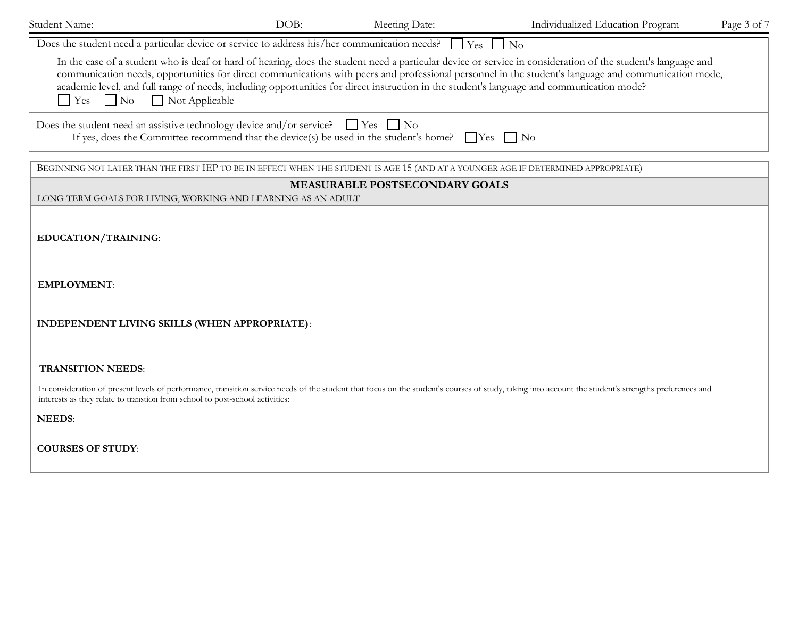| Student Name:                                                                                                                                                                                            | DOB: | Meeting Date: | Individualized Education Program                                                                                                                                                                                                                                                                                                                                                                                                                                  | Page 3 of 7 |
|----------------------------------------------------------------------------------------------------------------------------------------------------------------------------------------------------------|------|---------------|-------------------------------------------------------------------------------------------------------------------------------------------------------------------------------------------------------------------------------------------------------------------------------------------------------------------------------------------------------------------------------------------------------------------------------------------------------------------|-------------|
| Does the student need a particular device or service to address his/her communication needs? $\Box$ Yes $\Box$ No                                                                                        |      |               |                                                                                                                                                                                                                                                                                                                                                                                                                                                                   |             |
| $\Box$ Yes $\Box$ No $\Box$ Not Applicable                                                                                                                                                               |      |               | In the case of a student who is deaf or hard of hearing, does the student need a particular device or service in consideration of the student's language and<br>communication needs, opportunities for direct communications with peers and professional personnel in the student's language and communication mode,<br>academic level, and full range of needs, including opportunities for direct instruction in the student's language and communication mode? |             |
| Does the student need an assistive technology device and/or service? $\Box$ Yes $\Box$ No<br>If yes, does the Committee recommend that the device(s) be used in the student's home? $\Box$ Yes $\Box$ No |      |               |                                                                                                                                                                                                                                                                                                                                                                                                                                                                   |             |

BEGINNING NOT LATER THAN THE FIRST IEP TO BE IN EFFECT WHEN THE STUDENT IS AGE 15 (AND AT A YOUNGER AGE IF DETERMINED APPROPRIATE)

#### **MEASURABLE POSTSECONDARY GOALS**

LONG-TERM GOALS FOR LIVING, WORKING AND LEARNING AS AN ADULT

**EDUCATION/TRAINING**:

**EMPLOYMENT**:

**INDEPENDENT LIVING SKILLS (WHEN APPROPRIATE)**:

**TRANSITION NEEDS**:

In consideration of present levels of performance, transition service needs of the student that focus on the student's courses of study, taking into account the student's strengths preferences and interests as they relate to transtion from school to post-school activities:

**NEEDS**:

**COURSES OF STUDY**: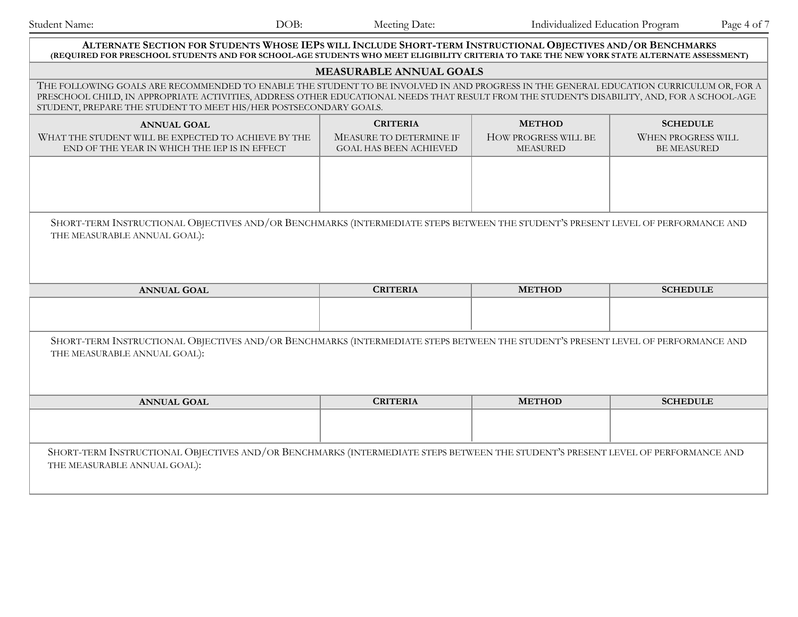| DOB:<br>Student Name:                                                                                                                                                                                                                                                                                                                                       | Meeting Date:                                                                                                                    | Individualized Education Program<br>Page 4 of 7 |                                                 |  |  |  |  |
|-------------------------------------------------------------------------------------------------------------------------------------------------------------------------------------------------------------------------------------------------------------------------------------------------------------------------------------------------------------|----------------------------------------------------------------------------------------------------------------------------------|-------------------------------------------------|-------------------------------------------------|--|--|--|--|
| ALTERNATE SECTION FOR STUDENTS WHOSE IEPS WILL INCLUDE SHORT-TERM INSTRUCTIONAL OBJECTIVES AND/OR BENCHMARKS<br>(REQUIRED FOR PRESCHOOL STUDENTS AND FOR SCHOOL-AGE STUDENTS WHO MEET ELIGIBILITY CRITERIA TO TAKE THE NEW YORK STATE ALTERNATE ASSESSMENT)                                                                                                 |                                                                                                                                  |                                                 |                                                 |  |  |  |  |
| <b>MEASURABLE ANNUAL GOALS</b>                                                                                                                                                                                                                                                                                                                              |                                                                                                                                  |                                                 |                                                 |  |  |  |  |
| THE FOLLOWING GOALS ARE RECOMMENDED TO ENABLE THE STUDENT TO BE INVOLVED IN AND PROGRESS IN THE GENERAL EDUCATION CURRICULUM OR, FOR A<br>PRESCHOOL CHILD, IN APPROPRIATE ACTIVITIES, ADDRESS OTHER EDUCATIONAL NEEDS THAT RESULT FROM THE STUDENT'S DISABILITY, AND, FOR A SCHOOL-AGE<br>STUDENT, PREPARE THE STUDENT TO MEET HIS/HER POSTSECONDARY GOALS. |                                                                                                                                  |                                                 |                                                 |  |  |  |  |
| <b>CRITERIA</b><br><b>METHOD</b><br><b>SCHEDULE</b><br><b>ANNUAL GOAL</b>                                                                                                                                                                                                                                                                                   |                                                                                                                                  |                                                 |                                                 |  |  |  |  |
| WHAT THE STUDENT WILL BE EXPECTED TO ACHIEVE BY THE<br>END OF THE YEAR IN WHICH THE IEP IS IN EFFECT                                                                                                                                                                                                                                                        | MEASURE TO DETERMINE IF<br><b>GOAL HAS BEEN ACHIEVED</b>                                                                         | HOW PROGRESS WILL BE<br><b>MEASURED</b>         | <b>WHEN PROGRESS WILL</b><br><b>BE MEASURED</b> |  |  |  |  |
|                                                                                                                                                                                                                                                                                                                                                             |                                                                                                                                  |                                                 |                                                 |  |  |  |  |
| THE MEASURABLE ANNUAL GOAL):                                                                                                                                                                                                                                                                                                                                | SHORT-TERM INSTRUCTIONAL OBJECTIVES AND/OR BENCHMARKS (INTERMEDIATE STEPS BETWEEN THE STUDENT'S PRESENT LEVEL OF PERFORMANCE AND |                                                 |                                                 |  |  |  |  |
| <b>ANNUAL GOAL</b>                                                                                                                                                                                                                                                                                                                                          | <b>CRITERIA</b>                                                                                                                  | <b>METHOD</b>                                   | <b>SCHEDULE</b>                                 |  |  |  |  |
|                                                                                                                                                                                                                                                                                                                                                             |                                                                                                                                  |                                                 |                                                 |  |  |  |  |
| SHORT-TERM INSTRUCTIONAL OBJECTIVES AND/OR BENCHMARKS (INTERMEDIATE STEPS BETWEEN THE STUDENT'S PRESENT LEVEL OF PERFORMANCE AND<br>THE MEASURABLE ANNUAL GOAL):                                                                                                                                                                                            |                                                                                                                                  |                                                 |                                                 |  |  |  |  |
| <b>ANNUAL GOAL</b>                                                                                                                                                                                                                                                                                                                                          | <b>CRITERIA</b>                                                                                                                  | <b>METHOD</b>                                   | <b>SCHEDULE</b>                                 |  |  |  |  |
| THE MEASURABLE ANNUAL GOAL):                                                                                                                                                                                                                                                                                                                                | SHORT-TERM INSTRUCTIONAL OBJECTIVES AND/OR BENCHMARKS (INTERMEDIATE STEPS BETWEEN THE STUDENT'S PRESENT LEVEL OF PERFORMANCE AND |                                                 |                                                 |  |  |  |  |
|                                                                                                                                                                                                                                                                                                                                                             |                                                                                                                                  |                                                 |                                                 |  |  |  |  |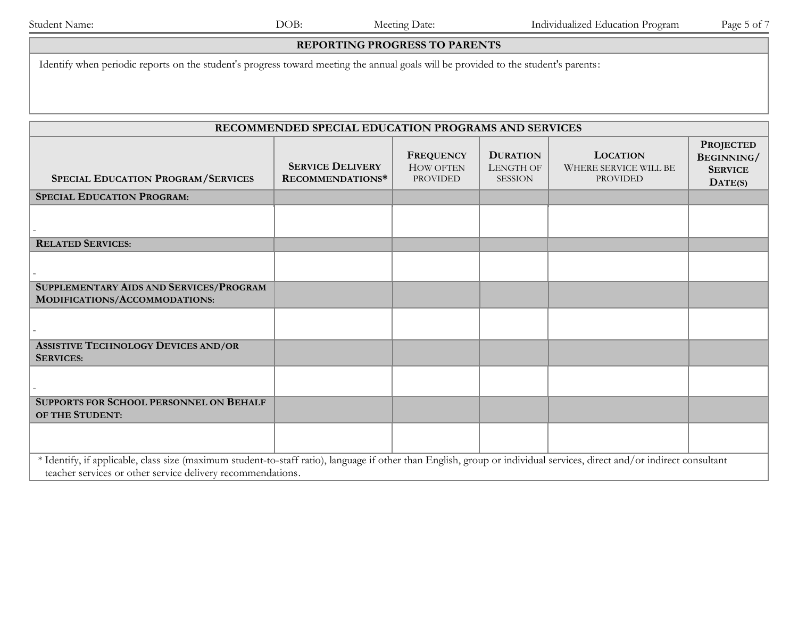#### **REPORTING PROGRESS TO PARENTS**

Identify when periodic reports on the student's progress toward meeting the annual goals will be provided to the student's parents:

| RECOMMENDED SPECIAL EDUCATION PROGRAMS AND SERVICES                                                                                                                                                                                    |                                             |                                                         |                                                |                                                             |                                                                      |
|----------------------------------------------------------------------------------------------------------------------------------------------------------------------------------------------------------------------------------------|---------------------------------------------|---------------------------------------------------------|------------------------------------------------|-------------------------------------------------------------|----------------------------------------------------------------------|
| <b>SPECIAL EDUCATION PROGRAM/SERVICES</b>                                                                                                                                                                                              | <b>SERVICE DELIVERY</b><br>RECOMMENDATIONS* | <b>FREQUENCY</b><br><b>HOW OFTEN</b><br><b>PROVIDED</b> | <b>DURATION</b><br>LENGTH OF<br><b>SESSION</b> | <b>LOCATION</b><br>WHERE SERVICE WILL BE<br><b>PROVIDED</b> | <b>PROJECTED</b><br>BEGINNING/<br><b>SERVICE</b><br>$\text{DATE}(S)$ |
| <b>SPECIAL EDUCATION PROGRAM:</b>                                                                                                                                                                                                      |                                             |                                                         |                                                |                                                             |                                                                      |
|                                                                                                                                                                                                                                        |                                             |                                                         |                                                |                                                             |                                                                      |
| <b>RELATED SERVICES:</b>                                                                                                                                                                                                               |                                             |                                                         |                                                |                                                             |                                                                      |
|                                                                                                                                                                                                                                        |                                             |                                                         |                                                |                                                             |                                                                      |
| SUPPLEMENTARY AIDS AND SERVICES/PROGRAM<br>MODIFICATIONS/ACCOMMODATIONS:                                                                                                                                                               |                                             |                                                         |                                                |                                                             |                                                                      |
|                                                                                                                                                                                                                                        |                                             |                                                         |                                                |                                                             |                                                                      |
| <b>ASSISTIVE TECHNOLOGY DEVICES AND/OR</b><br><b>SERVICES:</b>                                                                                                                                                                         |                                             |                                                         |                                                |                                                             |                                                                      |
|                                                                                                                                                                                                                                        |                                             |                                                         |                                                |                                                             |                                                                      |
| <b>SUPPORTS FOR SCHOOL PERSONNEL ON BEHALF</b><br>OF THE STUDENT:                                                                                                                                                                      |                                             |                                                         |                                                |                                                             |                                                                      |
|                                                                                                                                                                                                                                        |                                             |                                                         |                                                |                                                             |                                                                      |
| * Identify, if applicable, class size (maximum student-to-staff ratio), language if other than English, group or individual services, direct and/or indirect consultant<br>teacher services or other service delivery recommendations. |                                             |                                                         |                                                |                                                             |                                                                      |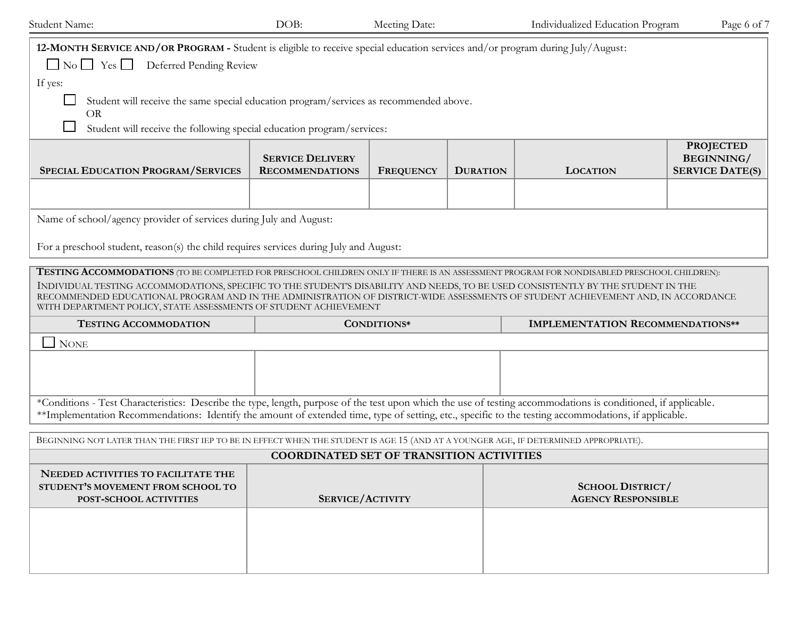| Student Name:                                                                                                                                                                                                                                                                                                                                                                                                                                                                                 | DOB:                                              | Meeting Date:    |                 | Individualized Education Program              |                                                          |  |
|-----------------------------------------------------------------------------------------------------------------------------------------------------------------------------------------------------------------------------------------------------------------------------------------------------------------------------------------------------------------------------------------------------------------------------------------------------------------------------------------------|---------------------------------------------------|------------------|-----------------|-----------------------------------------------|----------------------------------------------------------|--|
| 12-MONTH SERVICE AND/OR PROGRAM - Student is eligible to receive special education services and/or program during July/August:<br>No Yes Deferred Pending Review                                                                                                                                                                                                                                                                                                                              |                                                   |                  |                 |                                               |                                                          |  |
| If yes:<br>Student will receive the same special education program/services as recommended above.                                                                                                                                                                                                                                                                                                                                                                                             |                                                   |                  |                 |                                               |                                                          |  |
| <b>OR</b><br>Student will receive the following special education program/services:                                                                                                                                                                                                                                                                                                                                                                                                           |                                                   |                  |                 |                                               |                                                          |  |
| <b>SPECIAL EDUCATION PROGRAM/SERVICES</b>                                                                                                                                                                                                                                                                                                                                                                                                                                                     | <b>SERVICE DELIVERY</b><br><b>RECOMMENDATIONS</b> | <b>FREQUENCY</b> | <b>DURATION</b> | <b>LOCATION</b>                               | <b>PROJECTED</b><br>BEGINNING/<br><b>SERVICE DATE(S)</b> |  |
|                                                                                                                                                                                                                                                                                                                                                                                                                                                                                               |                                                   |                  |                 |                                               |                                                          |  |
| Name of school/agency provider of services during July and August:                                                                                                                                                                                                                                                                                                                                                                                                                            |                                                   |                  |                 |                                               |                                                          |  |
| For a preschool student, reason(s) the child requires services during July and August:                                                                                                                                                                                                                                                                                                                                                                                                        |                                                   |                  |                 |                                               |                                                          |  |
| <b>TESTING ACCOMMODATIONS</b> (TO BE COMPLETED FOR PRESCHOOL CHILDREN ONLY IF THERE IS AN ASSESSMENT PROGRAM FOR NONDISABLED PRESCHOOL CHILDREN):<br>INDIVIDUAL TESTING ACCOMMODATIONS, SPECIFIC TO THE STUDENT'S DISABILITY AND NEEDS, TO BE USED CONSISTENTLY BY THE STUDENT IN THE<br>RECOMMENDED EDUCATIONAL PROGRAM AND IN THE ADMINISTRATION OF DISTRICT-WIDE ASSESSMENTS OF STUDENT ACHIEVEMENT AND, IN ACCORDANCE<br>WITH DEPARTMENT POLICY, STATE ASSESSMENTS OF STUDENT ACHIEVEMENT |                                                   |                  |                 |                                               |                                                          |  |
| <b>TESTING ACCOMMODATION</b>                                                                                                                                                                                                                                                                                                                                                                                                                                                                  |                                                   | CONDITIONS*      |                 | <b>IMPLEMENTATION RECOMMENDATIONS**</b>       |                                                          |  |
| $\Box$ None                                                                                                                                                                                                                                                                                                                                                                                                                                                                                   |                                                   |                  |                 |                                               |                                                          |  |
|                                                                                                                                                                                                                                                                                                                                                                                                                                                                                               |                                                   |                  |                 |                                               |                                                          |  |
| *Conditions - Test Characteristics: Describe the type, length, purpose of the test upon which the use of testing accommodations is conditioned, if applicable.<br>**Implementation Recommendations: Identify the amount of extended time, type of setting, etc., specific to the testing accommodations, if applicable.                                                                                                                                                                       |                                                   |                  |                 |                                               |                                                          |  |
| BEGINNING NOT LATER THAN THE FIRST IEP TO BE IN EFFECT WHEN THE STUDENT IS AGE 15 (AND AT A YOUNGER AGE, IF DETERMINED APPROPRIATE).                                                                                                                                                                                                                                                                                                                                                          |                                                   |                  |                 |                                               |                                                          |  |
| <b>COORDINATED SET OF TRANSITION ACTIVITIES</b>                                                                                                                                                                                                                                                                                                                                                                                                                                               |                                                   |                  |                 |                                               |                                                          |  |
| NEEDED ACTIVITIES TO FACILITATE THE<br>STUDENT'S MOVEMENT FROM SCHOOL TO<br>POST-SCHOOL ACTIVITIES                                                                                                                                                                                                                                                                                                                                                                                            | <b>SERVICE/ACTIVITY</b>                           |                  |                 | SCHOOL DISTRICT/<br><b>AGENCY RESPONSIBLE</b> |                                                          |  |
|                                                                                                                                                                                                                                                                                                                                                                                                                                                                                               |                                                   |                  |                 |                                               |                                                          |  |
|                                                                                                                                                                                                                                                                                                                                                                                                                                                                                               |                                                   |                  |                 |                                               |                                                          |  |